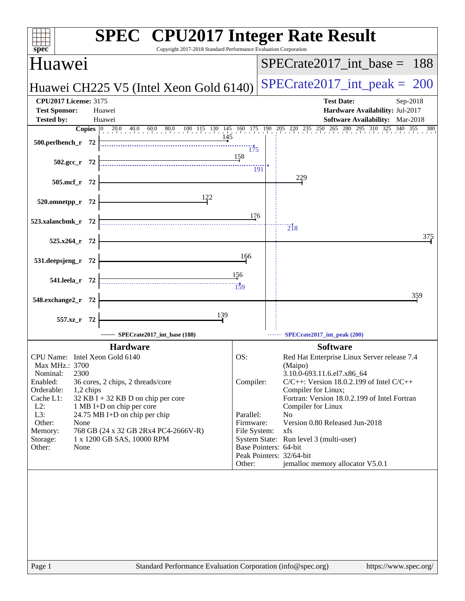| Huawei<br>$SPECrate2017\_int\_base = 188$<br>$SPECrate2017\_int\_peak = 200$<br>Huawei CH225 V5 (Intel Xeon Gold 6140)<br><b>CPU2017 License: 3175</b><br><b>Test Date:</b><br>Sep-2018<br><b>Test Sponsor:</b><br>Huawei<br>Hardware Availability: Jul-2017<br>Software Availability: Mar-2018<br><b>Tested by:</b><br>Huawei<br><b>Copies</b> 0 20.0 40.0 60.0 80.0 100 115 130 145 160 175 190 205 220 235 250 265 280 295 310 325 340 355<br>145<br>500.perlbench_r 72<br>175<br>158<br>$502.\text{gcc r}$ 72<br>191<br>229<br>505.mcf_r 72<br>122<br>520.omnetpp_r 72<br>176<br>523.xalancbmk_r 72<br>$\overline{2}$ <sup>18</sup><br>525.x264_r 72<br>166<br>531.deepsjeng_r 72<br>156<br>541.leela_r 72<br>$\frac{1}{159}$<br>359<br>548.exchange2_r 72<br>139<br>557.xz_r 72<br>SPECrate2017_int_base (188)<br>SPECrate2017_int_peak (200)<br><b>Hardware</b><br><b>Software</b><br>OS:<br>CPU Name: Intel Xeon Gold 6140<br>Red Hat Enterprise Linux Server release 7.4<br>Max MHz.: 3700<br>(Maipo)<br>2300<br>3.10.0-693.11.6.el7.x86_64<br>Nominal:<br>Enabled:<br>Compiler:<br>36 cores, 2 chips, 2 threads/core<br>$C/C++$ : Version 18.0.2.199 of Intel $C/C++$<br>Orderable:<br>Compiler for Linux;<br>1,2 chips<br>Cache L1:<br>$32$ KB I + 32 KB D on chip per core<br>Fortran: Version 18.0.2.199 of Intel Fortran<br>$L2$ :<br>1 MB I+D on chip per core<br>Compiler for Linux<br>L3:<br>24.75 MB I+D on chip per chip<br>Parallel:<br>N <sub>0</sub><br>Other:<br>Version 0.80 Released Jun-2018<br>Firmware:<br>None<br>Memory:<br>768 GB (24 x 32 GB 2Rx4 PC4-2666V-R)<br>File System:<br>xfs<br>1 x 1200 GB SAS, 10000 RPM<br>System State: Run level 3 (multi-user)<br>Storage:<br>Base Pointers: 64-bit<br>Other:<br>None<br>Peak Pointers: 32/64-bit<br>jemalloc memory allocator V5.0.1<br>Other: | spec <sup>®</sup> | <b>SPEC<sup>®</sup></b> CPU2017 Integer Rate Result<br>Copyright 2017-2018 Standard Performance Evaluation Corporation |  |     |
|-------------------------------------------------------------------------------------------------------------------------------------------------------------------------------------------------------------------------------------------------------------------------------------------------------------------------------------------------------------------------------------------------------------------------------------------------------------------------------------------------------------------------------------------------------------------------------------------------------------------------------------------------------------------------------------------------------------------------------------------------------------------------------------------------------------------------------------------------------------------------------------------------------------------------------------------------------------------------------------------------------------------------------------------------------------------------------------------------------------------------------------------------------------------------------------------------------------------------------------------------------------------------------------------------------------------------------------------------------------------------------------------------------------------------------------------------------------------------------------------------------------------------------------------------------------------------------------------------------------------------------------------------------------------------------------------------------------------------------------------------------------------------------------------------------------------------------|-------------------|------------------------------------------------------------------------------------------------------------------------|--|-----|
|                                                                                                                                                                                                                                                                                                                                                                                                                                                                                                                                                                                                                                                                                                                                                                                                                                                                                                                                                                                                                                                                                                                                                                                                                                                                                                                                                                                                                                                                                                                                                                                                                                                                                                                                                                                                                               |                   |                                                                                                                        |  |     |
|                                                                                                                                                                                                                                                                                                                                                                                                                                                                                                                                                                                                                                                                                                                                                                                                                                                                                                                                                                                                                                                                                                                                                                                                                                                                                                                                                                                                                                                                                                                                                                                                                                                                                                                                                                                                                               |                   |                                                                                                                        |  |     |
|                                                                                                                                                                                                                                                                                                                                                                                                                                                                                                                                                                                                                                                                                                                                                                                                                                                                                                                                                                                                                                                                                                                                                                                                                                                                                                                                                                                                                                                                                                                                                                                                                                                                                                                                                                                                                               |                   |                                                                                                                        |  |     |
|                                                                                                                                                                                                                                                                                                                                                                                                                                                                                                                                                                                                                                                                                                                                                                                                                                                                                                                                                                                                                                                                                                                                                                                                                                                                                                                                                                                                                                                                                                                                                                                                                                                                                                                                                                                                                               |                   |                                                                                                                        |  |     |
|                                                                                                                                                                                                                                                                                                                                                                                                                                                                                                                                                                                                                                                                                                                                                                                                                                                                                                                                                                                                                                                                                                                                                                                                                                                                                                                                                                                                                                                                                                                                                                                                                                                                                                                                                                                                                               |                   |                                                                                                                        |  | 380 |
|                                                                                                                                                                                                                                                                                                                                                                                                                                                                                                                                                                                                                                                                                                                                                                                                                                                                                                                                                                                                                                                                                                                                                                                                                                                                                                                                                                                                                                                                                                                                                                                                                                                                                                                                                                                                                               |                   |                                                                                                                        |  |     |
|                                                                                                                                                                                                                                                                                                                                                                                                                                                                                                                                                                                                                                                                                                                                                                                                                                                                                                                                                                                                                                                                                                                                                                                                                                                                                                                                                                                                                                                                                                                                                                                                                                                                                                                                                                                                                               |                   |                                                                                                                        |  |     |
|                                                                                                                                                                                                                                                                                                                                                                                                                                                                                                                                                                                                                                                                                                                                                                                                                                                                                                                                                                                                                                                                                                                                                                                                                                                                                                                                                                                                                                                                                                                                                                                                                                                                                                                                                                                                                               |                   |                                                                                                                        |  |     |
|                                                                                                                                                                                                                                                                                                                                                                                                                                                                                                                                                                                                                                                                                                                                                                                                                                                                                                                                                                                                                                                                                                                                                                                                                                                                                                                                                                                                                                                                                                                                                                                                                                                                                                                                                                                                                               |                   |                                                                                                                        |  |     |
|                                                                                                                                                                                                                                                                                                                                                                                                                                                                                                                                                                                                                                                                                                                                                                                                                                                                                                                                                                                                                                                                                                                                                                                                                                                                                                                                                                                                                                                                                                                                                                                                                                                                                                                                                                                                                               |                   |                                                                                                                        |  |     |
|                                                                                                                                                                                                                                                                                                                                                                                                                                                                                                                                                                                                                                                                                                                                                                                                                                                                                                                                                                                                                                                                                                                                                                                                                                                                                                                                                                                                                                                                                                                                                                                                                                                                                                                                                                                                                               |                   |                                                                                                                        |  | 375 |
|                                                                                                                                                                                                                                                                                                                                                                                                                                                                                                                                                                                                                                                                                                                                                                                                                                                                                                                                                                                                                                                                                                                                                                                                                                                                                                                                                                                                                                                                                                                                                                                                                                                                                                                                                                                                                               |                   |                                                                                                                        |  |     |
|                                                                                                                                                                                                                                                                                                                                                                                                                                                                                                                                                                                                                                                                                                                                                                                                                                                                                                                                                                                                                                                                                                                                                                                                                                                                                                                                                                                                                                                                                                                                                                                                                                                                                                                                                                                                                               |                   |                                                                                                                        |  |     |
|                                                                                                                                                                                                                                                                                                                                                                                                                                                                                                                                                                                                                                                                                                                                                                                                                                                                                                                                                                                                                                                                                                                                                                                                                                                                                                                                                                                                                                                                                                                                                                                                                                                                                                                                                                                                                               |                   |                                                                                                                        |  |     |
|                                                                                                                                                                                                                                                                                                                                                                                                                                                                                                                                                                                                                                                                                                                                                                                                                                                                                                                                                                                                                                                                                                                                                                                                                                                                                                                                                                                                                                                                                                                                                                                                                                                                                                                                                                                                                               |                   |                                                                                                                        |  |     |
|                                                                                                                                                                                                                                                                                                                                                                                                                                                                                                                                                                                                                                                                                                                                                                                                                                                                                                                                                                                                                                                                                                                                                                                                                                                                                                                                                                                                                                                                                                                                                                                                                                                                                                                                                                                                                               |                   |                                                                                                                        |  |     |
|                                                                                                                                                                                                                                                                                                                                                                                                                                                                                                                                                                                                                                                                                                                                                                                                                                                                                                                                                                                                                                                                                                                                                                                                                                                                                                                                                                                                                                                                                                                                                                                                                                                                                                                                                                                                                               |                   |                                                                                                                        |  |     |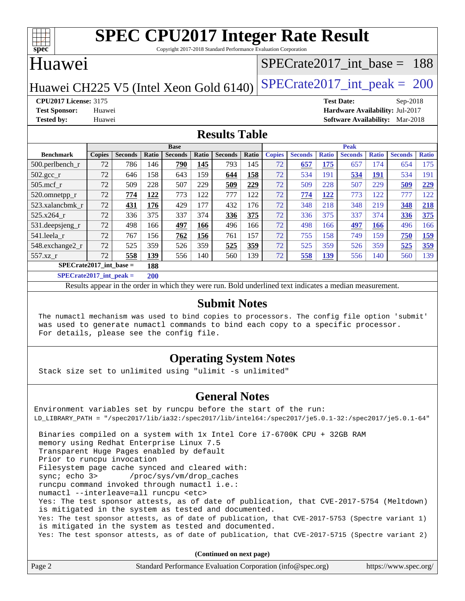

Copyright 2017-2018 Standard Performance Evaluation Corporation

# Huawei

### [SPECrate2017\\_int\\_base =](http://www.spec.org/auto/cpu2017/Docs/result-fields.html#SPECrate2017intbase) 188

Huawei CH225 V5 (Intel Xeon Gold  $6140$ ) [SPECrate2017\\_int\\_peak =](http://www.spec.org/auto/cpu2017/Docs/result-fields.html#SPECrate2017intpeak) 200

**[CPU2017 License:](http://www.spec.org/auto/cpu2017/Docs/result-fields.html#CPU2017License)** 3175 **[Test Date:](http://www.spec.org/auto/cpu2017/Docs/result-fields.html#TestDate)** Sep-2018 **[Test Sponsor:](http://www.spec.org/auto/cpu2017/Docs/result-fields.html#TestSponsor)** Huawei **[Hardware Availability:](http://www.spec.org/auto/cpu2017/Docs/result-fields.html#HardwareAvailability)** Jul-2017 **[Tested by:](http://www.spec.org/auto/cpu2017/Docs/result-fields.html#Testedby)** Huawei **[Software Availability:](http://www.spec.org/auto/cpu2017/Docs/result-fields.html#SoftwareAvailability)** Mar-2018

#### **[Results Table](http://www.spec.org/auto/cpu2017/Docs/result-fields.html#ResultsTable)**

|                           |               |                |                      | <b>Base</b>    |       |                |       |               |                |              | <b>Peak</b>    |              |                |              |
|---------------------------|---------------|----------------|----------------------|----------------|-------|----------------|-------|---------------|----------------|--------------|----------------|--------------|----------------|--------------|
| <b>Benchmark</b>          | <b>Copies</b> | <b>Seconds</b> | <b>Ratio</b>         | <b>Seconds</b> | Ratio | <b>Seconds</b> | Ratio | <b>Copies</b> | <b>Seconds</b> | <b>Ratio</b> | <b>Seconds</b> | <b>Ratio</b> | <b>Seconds</b> | <b>Ratio</b> |
| $500.$ perlbench_r        | 72            | 786            | 146                  | 790            | 145   | 793            | 145   | 72            | 657            | 175          | 657            | 74           | 654            | 175          |
| $502.\text{gcc\_r}$       | 72            | 646            | 158                  | 643            | 159   | 644            | 158   | 72            | 534            | 191          | 534            | 191          | 534            | 191          |
| $505$ .mcf r              | 72            | 509            | 228                  | 507            | 229   | 509            | 229   | 72            | 509            | 228          | 507            | 229          | 509            | 229          |
| 520.omnetpp_r             | 72            | 774            | 122                  | 773            | 122   | 777            | 122   | 72            | 774            | 122          | 773            | 122          | 777            | 122          |
| 523.xalancbmk r           | 72            | 431            | 176                  | 429            | 177   | 432            | 176   | 72            | 348            | 218          | 348            | 219          | 348            | 218          |
| 525.x264 r                | 72            | 336            | 375                  | 337            | 374   | 336            | 375   | 72            | 336            | 375          | 337            | 374          | 336            | 375          |
| 531.deepsjeng_r           | 72            | 498            | 166                  | 497            | 166   | 496            | 166   | 72            | 498            | 166          | 497            | 166          | 496            | 166          |
| 541.leela r               | 72            | 767            | 156                  | 762            | 156   | 761            | 157   | 72            | 755            | 158          | 749            | 159          | 750            | <u>159</u>   |
| 548.exchange2_r           | 72            | 525            | 359                  | 526            | 359   | 525            | 359   | 72            | 525            | 359          | 526            | 359          | 525            | <u>359</u>   |
| 557.xz r                  | 72            | 558            | 139                  | 556            | 140   | 560            | 139   | 72            | 558            | <u>139</u>   | 556            | 140          | 560            | 139          |
| $SPECrate2017$ int base = |               |                | 188                  |                |       |                |       |               |                |              |                |              |                |              |
| $C1 = C2 + C3 + C4 + C5$  |               | . .            | $\sim$ $\sim$ $\sim$ |                |       |                |       |               |                |              |                |              |                |              |

**[SPECrate2017\\_int\\_peak =](http://www.spec.org/auto/cpu2017/Docs/result-fields.html#SPECrate2017intpeak) 200**

Results appear in the [order in which they were run](http://www.spec.org/auto/cpu2017/Docs/result-fields.html#RunOrder). Bold underlined text [indicates a median measurement](http://www.spec.org/auto/cpu2017/Docs/result-fields.html#Median).

#### **[Submit Notes](http://www.spec.org/auto/cpu2017/Docs/result-fields.html#SubmitNotes)**

 The numactl mechanism was used to bind copies to processors. The config file option 'submit' was used to generate numactl commands to bind each copy to a specific processor. For details, please see the config file.

### **[Operating System Notes](http://www.spec.org/auto/cpu2017/Docs/result-fields.html#OperatingSystemNotes)**

Stack size set to unlimited using "ulimit -s unlimited"

#### **[General Notes](http://www.spec.org/auto/cpu2017/Docs/result-fields.html#GeneralNotes)**

Environment variables set by runcpu before the start of the run: LD\_LIBRARY\_PATH = "/spec2017/lib/ia32:/spec2017/lib/intel64:/spec2017/je5.0.1-32:/spec2017/je5.0.1-64" Binaries compiled on a system with 1x Intel Core i7-6700K CPU + 32GB RAM memory using Redhat Enterprise Linux 7.5 Transparent Huge Pages enabled by default Prior to runcpu invocation Filesystem page cache synced and cleared with: sync; echo 3> /proc/sys/vm/drop\_caches runcpu command invoked through numactl i.e.: numactl --interleave=all runcpu <etc> Yes: The test sponsor attests, as of date of publication, that CVE-2017-5754 (Meltdown) is mitigated in the system as tested and documented. Yes: The test sponsor attests, as of date of publication, that CVE-2017-5753 (Spectre variant 1) is mitigated in the system as tested and documented. Yes: The test sponsor attests, as of date of publication, that CVE-2017-5715 (Spectre variant 2)

**(Continued on next page)**

| Page 2 | Standard Performance Evaluation Corporation (info@spec.org) | https://www.spec.org/ |
|--------|-------------------------------------------------------------|-----------------------|
|--------|-------------------------------------------------------------|-----------------------|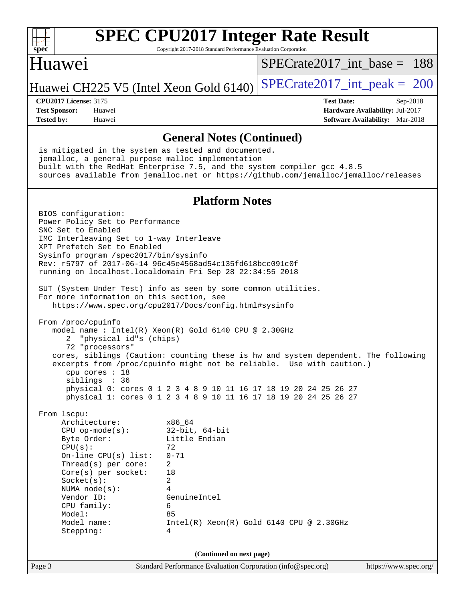

Copyright 2017-2018 Standard Performance Evaluation Corporation

## Huawei

[SPECrate2017\\_int\\_base =](http://www.spec.org/auto/cpu2017/Docs/result-fields.html#SPECrate2017intbase) 188

## Huawei CH225 V5 (Intel Xeon Gold  $6140$ ) [SPECrate2017\\_int\\_peak =](http://www.spec.org/auto/cpu2017/Docs/result-fields.html#SPECrate2017intpeak) 200

**[Tested by:](http://www.spec.org/auto/cpu2017/Docs/result-fields.html#Testedby)** Huawei **[Software Availability:](http://www.spec.org/auto/cpu2017/Docs/result-fields.html#SoftwareAvailability)** Mar-2018

**[CPU2017 License:](http://www.spec.org/auto/cpu2017/Docs/result-fields.html#CPU2017License)** 3175 **[Test Date:](http://www.spec.org/auto/cpu2017/Docs/result-fields.html#TestDate)** Sep-2018 **[Test Sponsor:](http://www.spec.org/auto/cpu2017/Docs/result-fields.html#TestSponsor)** Huawei **[Hardware Availability:](http://www.spec.org/auto/cpu2017/Docs/result-fields.html#HardwareAvailability)** Jul-2017

#### **[General Notes \(Continued\)](http://www.spec.org/auto/cpu2017/Docs/result-fields.html#GeneralNotes)**

 is mitigated in the system as tested and documented. jemalloc, a general purpose malloc implementation built with the RedHat Enterprise 7.5, and the system compiler gcc 4.8.5 sources available from jemalloc.net or <https://github.com/jemalloc/jemalloc/releases>

#### **[Platform Notes](http://www.spec.org/auto/cpu2017/Docs/result-fields.html#PlatformNotes)**

 BIOS configuration: Power Policy Set to Performance SNC Set to Enabled IMC Interleaving Set to 1-way Interleave XPT Prefetch Set to Enabled Sysinfo program /spec2017/bin/sysinfo Rev: r5797 of 2017-06-14 96c45e4568ad54c135fd618bcc091c0f running on localhost.localdomain Fri Sep 28 22:34:55 2018 SUT (System Under Test) info as seen by some common utilities. For more information on this section, see <https://www.spec.org/cpu2017/Docs/config.html#sysinfo> From /proc/cpuinfo model name : Intel(R) Xeon(R) Gold 6140 CPU @ 2.30GHz 2 "physical id"s (chips) 72 "processors" cores, siblings (Caution: counting these is hw and system dependent. The following excerpts from /proc/cpuinfo might not be reliable. Use with caution.) cpu cores : 18 siblings : 36 physical 0: cores 0 1 2 3 4 8 9 10 11 16 17 18 19 20 24 25 26 27 physical 1: cores 0 1 2 3 4 8 9 10 11 16 17 18 19 20 24 25 26 27 From lscpu: Architecture: x86\_64 CPU op-mode(s): 32-bit, 64-bit<br>Byte Order: Little Endian Little Endian  $CPU(s):$  72 On-line CPU(s) list: 0-71 Thread(s) per core: 2 Core(s) per socket: 18 Socket(s): 2 NUMA node(s): 4 Vendor ID: GenuineIntel CPU family: 6 Model: 85 Model name: Intel(R) Xeon(R) Gold 6140 CPU @ 2.30GHz Stepping: 4 **(Continued on next page)**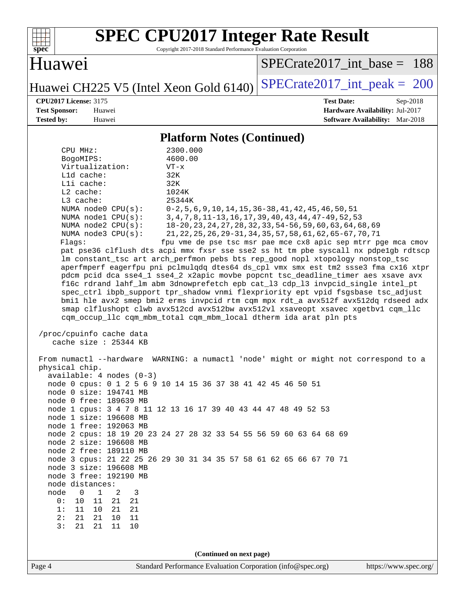

Copyright 2017-2018 Standard Performance Evaluation Corporation

# Huawei

[SPECrate2017\\_int\\_base =](http://www.spec.org/auto/cpu2017/Docs/result-fields.html#SPECrate2017intbase) 188

Huawei CH225 V5 (Intel Xeon Gold 6140) SPECrate 2017\_int\_peak = 200

**[CPU2017 License:](http://www.spec.org/auto/cpu2017/Docs/result-fields.html#CPU2017License)** 3175 **[Test Date:](http://www.spec.org/auto/cpu2017/Docs/result-fields.html#TestDate)** Sep-2018 **[Test Sponsor:](http://www.spec.org/auto/cpu2017/Docs/result-fields.html#TestSponsor)** Huawei **[Hardware Availability:](http://www.spec.org/auto/cpu2017/Docs/result-fields.html#HardwareAvailability)** Jul-2017 **[Tested by:](http://www.spec.org/auto/cpu2017/Docs/result-fields.html#Testedby)** Huawei **[Software Availability:](http://www.spec.org/auto/cpu2017/Docs/result-fields.html#SoftwareAvailability)** Mar-2018

### **[Platform Notes \(Continued\)](http://www.spec.org/auto/cpu2017/Docs/result-fields.html#PlatformNotes)**

| Virtualization:<br>Lld cache:                          | $VT - x$<br>32K                                                                                                                                                        |                       |
|--------------------------------------------------------|------------------------------------------------------------------------------------------------------------------------------------------------------------------------|-----------------------|
| Lli cache:                                             | 32K                                                                                                                                                                    |                       |
| L2 cache:                                              | 1024K                                                                                                                                                                  |                       |
| L3 cache:                                              | 25344K                                                                                                                                                                 |                       |
| NUMA $node0$ $CPU(s):$                                 | $0-2, 5, 6, 9, 10, 14, 15, 36-38, 41, 42, 45, 46, 50, 51$                                                                                                              |                       |
| NUMA nodel CPU(s):                                     | 3, 4, 7, 8, 11-13, 16, 17, 39, 40, 43, 44, 47-49, 52, 53                                                                                                               |                       |
| NUMA node2 CPU(s):<br>NUMA node3 CPU(s):               | 18-20, 23, 24, 27, 28, 32, 33, 54-56, 59, 60, 63, 64, 68, 69<br>21, 22, 25, 26, 29-31, 34, 35, 57, 58, 61, 62, 65-67, 70, 71                                           |                       |
| Flags:                                                 | fpu vme de pse tsc msr pae mce cx8 apic sep mtrr pge mca cmov                                                                                                          |                       |
|                                                        | pat pse36 clflush dts acpi mmx fxsr sse sse2 ss ht tm pbe syscall nx pdpelgb rdtscp                                                                                    |                       |
|                                                        | lm constant_tsc art arch_perfmon pebs bts rep_good nopl xtopology nonstop_tsc                                                                                          |                       |
|                                                        | aperfmperf eagerfpu pni pclmulgdq dtes64 ds_cpl vmx smx est tm2 ssse3 fma cx16 xtpr                                                                                    |                       |
|                                                        | pdcm pcid dca sse4_1 sse4_2 x2apic movbe popcnt tsc_deadline_timer aes xsave avx                                                                                       |                       |
|                                                        | f16c rdrand lahf_lm abm 3dnowprefetch epb cat_13 cdp_13 invpcid_single intel_pt                                                                                        |                       |
|                                                        | spec_ctrl ibpb_support tpr_shadow vnmi flexpriority ept vpid fsgsbase tsc_adjust<br>bmil hle avx2 smep bmi2 erms invpcid rtm cqm mpx rdt_a avx512f avx512dq rdseed adx |                       |
|                                                        | smap clflushopt clwb avx512cd avx512bw avx512vl xsaveopt xsavec xgetbvl cqm_llc                                                                                        |                       |
|                                                        | cqm_occup_llc cqm_mbm_total cqm_mbm_local dtherm ida arat pln pts                                                                                                      |                       |
| /proc/cpuinfo cache data<br>cache size : 25344 KB      |                                                                                                                                                                        |                       |
|                                                        | From numactl --hardware WARNING: a numactl 'node' might or might not correspond to a                                                                                   |                       |
| physical chip.                                         |                                                                                                                                                                        |                       |
| available: $4$ nodes $(0-3)$                           |                                                                                                                                                                        |                       |
| node 0 size: 194741 MB                                 | node 0 cpus: 0 1 2 5 6 9 10 14 15 36 37 38 41 42 45 46 50 51                                                                                                           |                       |
| node 0 free: 189639 MB                                 |                                                                                                                                                                        |                       |
|                                                        | node 1 cpus: 3 4 7 8 11 12 13 16 17 39 40 43 44 47 48 49 52 53                                                                                                         |                       |
| node 1 size: 196608 MB                                 |                                                                                                                                                                        |                       |
| node 1 free: 192063 MB                                 |                                                                                                                                                                        |                       |
|                                                        | node 2 cpus: 18 19 20 23 24 27 28 32 33 54 55 56 59 60 63 64 68 69                                                                                                     |                       |
| node 2 size: 196608 MB<br>node 2 free: 189110 MB       |                                                                                                                                                                        |                       |
|                                                        | node 3 cpus: 21 22 25 26 29 30 31 34 35 57 58 61 62 65 66 67 70 71                                                                                                     |                       |
| node 3 size: 196608 MB                                 |                                                                                                                                                                        |                       |
| node 3 free: 192190 MB                                 |                                                                                                                                                                        |                       |
| node distances:                                        |                                                                                                                                                                        |                       |
| 3<br>node<br>0<br>1<br>2<br>10<br>11<br>21<br>21<br>0: |                                                                                                                                                                        |                       |
| 1:<br>11<br>10<br>21<br>21                             |                                                                                                                                                                        |                       |
| 2:<br>21<br>21<br>10<br>11                             |                                                                                                                                                                        |                       |
| 3:<br>21<br>21<br>11<br>10                             |                                                                                                                                                                        |                       |
|                                                        |                                                                                                                                                                        |                       |
|                                                        | (Continued on next page)                                                                                                                                               |                       |
| Page 4                                                 | Standard Performance Evaluation Corporation (info@spec.org)                                                                                                            | https://www.spec.org/ |
|                                                        |                                                                                                                                                                        |                       |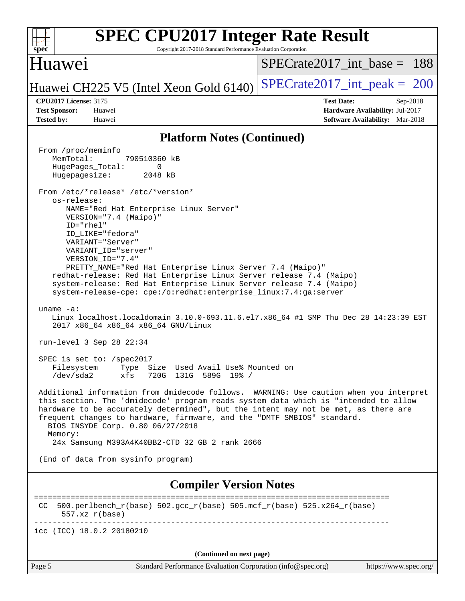| <b>SPEC CPU2017 Integer Rate Result</b><br>$s\overline{pec}$<br>Copyright 2017-2018 Standard Performance Evaluation Corporation                                                                                                                                                                                                                                                                                                                                                                                     |                                                                                                       |
|---------------------------------------------------------------------------------------------------------------------------------------------------------------------------------------------------------------------------------------------------------------------------------------------------------------------------------------------------------------------------------------------------------------------------------------------------------------------------------------------------------------------|-------------------------------------------------------------------------------------------------------|
| Huawei                                                                                                                                                                                                                                                                                                                                                                                                                                                                                                              | $SPECrate2017$ int base = 188                                                                         |
| Huawei CH225 V5 (Intel Xeon Gold 6140)                                                                                                                                                                                                                                                                                                                                                                                                                                                                              | $SPECrate2017\_int\_peak = 200$                                                                       |
| <b>CPU2017 License: 3175</b><br><b>Test Sponsor:</b><br>Huawei<br><b>Tested by:</b><br>Huawei                                                                                                                                                                                                                                                                                                                                                                                                                       | <b>Test Date:</b><br>$Sep-2018$<br>Hardware Availability: Jul-2017<br>Software Availability: Mar-2018 |
| <b>Platform Notes (Continued)</b>                                                                                                                                                                                                                                                                                                                                                                                                                                                                                   |                                                                                                       |
| From /proc/meminfo<br>MemTotal:<br>790510360 kB<br>HugePages_Total:<br>0<br>Hugepagesize:<br>2048 kB                                                                                                                                                                                                                                                                                                                                                                                                                |                                                                                                       |
| From /etc/*release* /etc/*version*<br>os-release:<br>NAME="Red Hat Enterprise Linux Server"<br>VERSION="7.4 (Maipo)"<br>ID="rhel"<br>ID LIKE="fedora"<br>VARIANT="Server"<br>VARIANT ID="server"<br>VERSION_ID="7.4"<br>PRETTY_NAME="Red Hat Enterprise Linux Server 7.4 (Maipo)"<br>redhat-release: Red Hat Enterprise Linux Server release 7.4 (Maipo)<br>system-release: Red Hat Enterprise Linux Server release 7.4 (Maipo)<br>system-release-cpe: cpe:/o:redhat:enterprise_linux:7.4:ga:server<br>uname $-a$ : |                                                                                                       |
| Linux localhost.localdomain 3.10.0-693.11.6.el7.x86_64 #1 SMP Thu Dec 28 14:23:39 EST<br>2017 x86_64 x86_64 x86_64 GNU/Linux<br>run-level 3 Sep 28 22:34                                                                                                                                                                                                                                                                                                                                                            |                                                                                                       |
| SPEC is set to: /spec2017<br>Size Used Avail Use% Mounted on<br>Filesystem<br>Type<br>$/\text{dev/sda2}$<br>720G 131G 589G 19% /<br>xfs                                                                                                                                                                                                                                                                                                                                                                             |                                                                                                       |
| Additional information from dmidecode follows. WARNING: Use caution when you interpret<br>this section. The 'dmidecode' program reads system data which is "intended to allow<br>hardware to be accurately determined", but the intent may not be met, as there are<br>frequent changes to hardware, firmware, and the "DMTF SMBIOS" standard.<br>BIOS INSYDE Corp. 0.80 06/27/2018<br>Memory:<br>24x Samsung M393A4K40BB2-CTD 32 GB 2 rank 2666                                                                    |                                                                                                       |
| (End of data from sysinfo program)                                                                                                                                                                                                                                                                                                                                                                                                                                                                                  |                                                                                                       |
| <b>Compiler Version Notes</b>                                                                                                                                                                                                                                                                                                                                                                                                                                                                                       |                                                                                                       |
| $500. perlbench_r(base) 502. gcc_r(base) 505. mcf_r(base) 525. x264_r(base)$<br>CC.<br>$557. xz_r(base)$                                                                                                                                                                                                                                                                                                                                                                                                            |                                                                                                       |
| icc (ICC) 18.0.2 20180210                                                                                                                                                                                                                                                                                                                                                                                                                                                                                           |                                                                                                       |
| (Continued on next page)                                                                                                                                                                                                                                                                                                                                                                                                                                                                                            |                                                                                                       |
| Page 5<br>Standard Performance Evaluation Corporation (info@spec.org)                                                                                                                                                                                                                                                                                                                                                                                                                                               | https://www.spec.org/                                                                                 |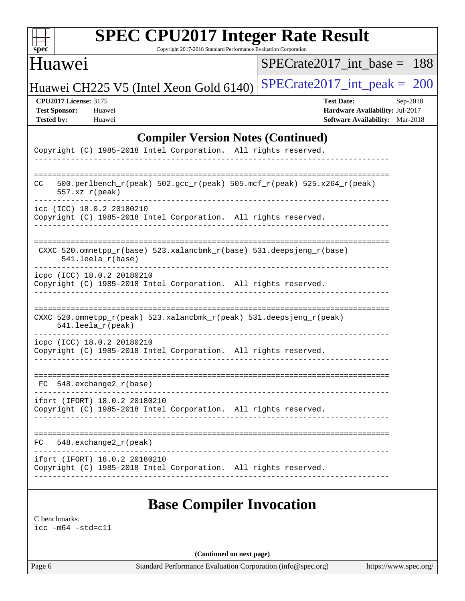

Copyright 2017-2018 Standard Performance Evaluation Corporation

## Huawei

[SPECrate2017\\_int\\_base =](http://www.spec.org/auto/cpu2017/Docs/result-fields.html#SPECrate2017intbase) 188

Huawei CH225 V5 (Intel Xeon Gold 6140) SPECrate  $2017$  int peak = 200

**[CPU2017 License:](http://www.spec.org/auto/cpu2017/Docs/result-fields.html#CPU2017License)** 3175 **[Test Date:](http://www.spec.org/auto/cpu2017/Docs/result-fields.html#TestDate)** Sep-2018 **[Test Sponsor:](http://www.spec.org/auto/cpu2017/Docs/result-fields.html#TestSponsor)** Huawei **[Hardware Availability:](http://www.spec.org/auto/cpu2017/Docs/result-fields.html#HardwareAvailability)** Jul-2017 **[Tested by:](http://www.spec.org/auto/cpu2017/Docs/result-fields.html#Testedby)** Huawei **[Software Availability:](http://www.spec.org/auto/cpu2017/Docs/result-fields.html#SoftwareAvailability)** Mar-2018

### **[Compiler Version Notes \(Continued\)](http://www.spec.org/auto/cpu2017/Docs/result-fields.html#CompilerVersionNotes)**

|     | Copyright (C) 1985-2018 Intel Corporation. All rights reserved.                                              |  |
|-----|--------------------------------------------------------------------------------------------------------------|--|
|     | ==========================                                                                                   |  |
| CC. | 500.perlbench_r(peak) 502.gcc_r(peak) 505.mcf_r(peak) 525.x264_r(peak)<br>$557. xz_r (peak)$                 |  |
|     | icc (ICC) 18.0.2 20180210<br>Copyright (C) 1985-2018 Intel Corporation. All rights reserved.                 |  |
|     | CXXC 520.omnetpp_r(base) 523.xalancbmk_r(base) 531.deepsjeng_r(base)<br>$541.$ leela_r(base)                 |  |
|     | icpc (ICC) 18.0.2 20180210<br>Copyright (C) 1985-2018 Intel Corporation. All rights reserved.                |  |
|     | CXXC 520.omnetpp_r(peak) 523.xalancbmk_r(peak) 531.deepsjeng_r(peak)<br>541.leela_r(peak)<br>--------------- |  |
|     | icpc (ICC) 18.0.2 20180210<br>Copyright (C) 1985-2018 Intel Corporation. All rights reserved.                |  |
|     | $FC 548. exchange2_r(base)$                                                                                  |  |
|     | ifort (IFORT) 18.0.2 20180210<br>Copyright (C) 1985-2018 Intel Corporation. All rights reserved.             |  |
|     | $FC$ 548. exchange $2\rr$ (peak)                                                                             |  |
|     | ifort (IFORT) 18.0.2 20180210<br>Copyright (C) 1985-2018 Intel Corporation. All rights reserved.             |  |

# **[Base Compiler Invocation](http://www.spec.org/auto/cpu2017/Docs/result-fields.html#BaseCompilerInvocation)**

[C benchmarks](http://www.spec.org/auto/cpu2017/Docs/result-fields.html#Cbenchmarks):

[icc -m64 -std=c11](http://www.spec.org/cpu2017/results/res2018q4/cpu2017-20181010-09136.flags.html#user_CCbase_intel_icc_64bit_c11_33ee0cdaae7deeeab2a9725423ba97205ce30f63b9926c2519791662299b76a0318f32ddfffdc46587804de3178b4f9328c46fa7c2b0cd779d7a61945c91cd35)

**(Continued on next page)**

Page 6 Standard Performance Evaluation Corporation [\(info@spec.org\)](mailto:info@spec.org) <https://www.spec.org/>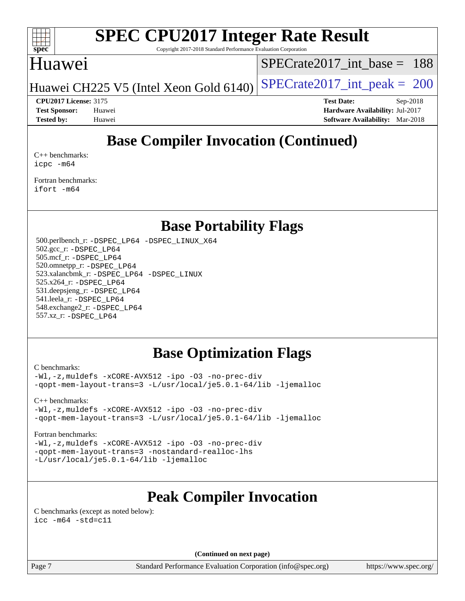

Copyright 2017-2018 Standard Performance Evaluation Corporation

# Huawei

[SPECrate2017\\_int\\_base =](http://www.spec.org/auto/cpu2017/Docs/result-fields.html#SPECrate2017intbase) 188

Huawei CH225 V5 (Intel Xeon Gold  $6140$ ) [SPECrate2017\\_int\\_peak =](http://www.spec.org/auto/cpu2017/Docs/result-fields.html#SPECrate2017intpeak) 200

**[CPU2017 License:](http://www.spec.org/auto/cpu2017/Docs/result-fields.html#CPU2017License)** 3175 **[Test Date:](http://www.spec.org/auto/cpu2017/Docs/result-fields.html#TestDate)** Sep-2018 **[Test Sponsor:](http://www.spec.org/auto/cpu2017/Docs/result-fields.html#TestSponsor)** Huawei **[Hardware Availability:](http://www.spec.org/auto/cpu2017/Docs/result-fields.html#HardwareAvailability)** Jul-2017 **[Tested by:](http://www.spec.org/auto/cpu2017/Docs/result-fields.html#Testedby)** Huawei **[Software Availability:](http://www.spec.org/auto/cpu2017/Docs/result-fields.html#SoftwareAvailability)** Mar-2018

# **[Base Compiler Invocation \(Continued\)](http://www.spec.org/auto/cpu2017/Docs/result-fields.html#BaseCompilerInvocation)**

[C++ benchmarks:](http://www.spec.org/auto/cpu2017/Docs/result-fields.html#CXXbenchmarks) [icpc -m64](http://www.spec.org/cpu2017/results/res2018q4/cpu2017-20181010-09136.flags.html#user_CXXbase_intel_icpc_64bit_4ecb2543ae3f1412ef961e0650ca070fec7b7afdcd6ed48761b84423119d1bf6bdf5cad15b44d48e7256388bc77273b966e5eb805aefd121eb22e9299b2ec9d9)

[Fortran benchmarks](http://www.spec.org/auto/cpu2017/Docs/result-fields.html#Fortranbenchmarks): [ifort -m64](http://www.spec.org/cpu2017/results/res2018q4/cpu2017-20181010-09136.flags.html#user_FCbase_intel_ifort_64bit_24f2bb282fbaeffd6157abe4f878425411749daecae9a33200eee2bee2fe76f3b89351d69a8130dd5949958ce389cf37ff59a95e7a40d588e8d3a57e0c3fd751)

## **[Base Portability Flags](http://www.spec.org/auto/cpu2017/Docs/result-fields.html#BasePortabilityFlags)**

 500.perlbench\_r: [-DSPEC\\_LP64](http://www.spec.org/cpu2017/results/res2018q4/cpu2017-20181010-09136.flags.html#b500.perlbench_r_basePORTABILITY_DSPEC_LP64) [-DSPEC\\_LINUX\\_X64](http://www.spec.org/cpu2017/results/res2018q4/cpu2017-20181010-09136.flags.html#b500.perlbench_r_baseCPORTABILITY_DSPEC_LINUX_X64) 502.gcc\_r: [-DSPEC\\_LP64](http://www.spec.org/cpu2017/results/res2018q4/cpu2017-20181010-09136.flags.html#suite_basePORTABILITY502_gcc_r_DSPEC_LP64) 505.mcf\_r: [-DSPEC\\_LP64](http://www.spec.org/cpu2017/results/res2018q4/cpu2017-20181010-09136.flags.html#suite_basePORTABILITY505_mcf_r_DSPEC_LP64) 520.omnetpp\_r: [-DSPEC\\_LP64](http://www.spec.org/cpu2017/results/res2018q4/cpu2017-20181010-09136.flags.html#suite_basePORTABILITY520_omnetpp_r_DSPEC_LP64) 523.xalancbmk\_r: [-DSPEC\\_LP64](http://www.spec.org/cpu2017/results/res2018q4/cpu2017-20181010-09136.flags.html#suite_basePORTABILITY523_xalancbmk_r_DSPEC_LP64) [-DSPEC\\_LINUX](http://www.spec.org/cpu2017/results/res2018q4/cpu2017-20181010-09136.flags.html#b523.xalancbmk_r_baseCXXPORTABILITY_DSPEC_LINUX) 525.x264\_r: [-DSPEC\\_LP64](http://www.spec.org/cpu2017/results/res2018q4/cpu2017-20181010-09136.flags.html#suite_basePORTABILITY525_x264_r_DSPEC_LP64) 531.deepsjeng\_r: [-DSPEC\\_LP64](http://www.spec.org/cpu2017/results/res2018q4/cpu2017-20181010-09136.flags.html#suite_basePORTABILITY531_deepsjeng_r_DSPEC_LP64) 541.leela\_r: [-DSPEC\\_LP64](http://www.spec.org/cpu2017/results/res2018q4/cpu2017-20181010-09136.flags.html#suite_basePORTABILITY541_leela_r_DSPEC_LP64) 548.exchange2\_r: [-DSPEC\\_LP64](http://www.spec.org/cpu2017/results/res2018q4/cpu2017-20181010-09136.flags.html#suite_basePORTABILITY548_exchange2_r_DSPEC_LP64) 557.xz\_r: [-DSPEC\\_LP64](http://www.spec.org/cpu2017/results/res2018q4/cpu2017-20181010-09136.flags.html#suite_basePORTABILITY557_xz_r_DSPEC_LP64)

# **[Base Optimization Flags](http://www.spec.org/auto/cpu2017/Docs/result-fields.html#BaseOptimizationFlags)**

[C benchmarks](http://www.spec.org/auto/cpu2017/Docs/result-fields.html#Cbenchmarks):

[-Wl,-z,muldefs](http://www.spec.org/cpu2017/results/res2018q4/cpu2017-20181010-09136.flags.html#user_CCbase_link_force_multiple1_b4cbdb97b34bdee9ceefcfe54f4c8ea74255f0b02a4b23e853cdb0e18eb4525ac79b5a88067c842dd0ee6996c24547a27a4b99331201badda8798ef8a743f577) [-xCORE-AVX512](http://www.spec.org/cpu2017/results/res2018q4/cpu2017-20181010-09136.flags.html#user_CCbase_f-xCORE-AVX512) [-ipo](http://www.spec.org/cpu2017/results/res2018q4/cpu2017-20181010-09136.flags.html#user_CCbase_f-ipo) [-O3](http://www.spec.org/cpu2017/results/res2018q4/cpu2017-20181010-09136.flags.html#user_CCbase_f-O3) [-no-prec-div](http://www.spec.org/cpu2017/results/res2018q4/cpu2017-20181010-09136.flags.html#user_CCbase_f-no-prec-div) [-qopt-mem-layout-trans=3](http://www.spec.org/cpu2017/results/res2018q4/cpu2017-20181010-09136.flags.html#user_CCbase_f-qopt-mem-layout-trans_de80db37974c74b1f0e20d883f0b675c88c3b01e9d123adea9b28688d64333345fb62bc4a798493513fdb68f60282f9a726aa07f478b2f7113531aecce732043) [-L/usr/local/je5.0.1-64/lib](http://www.spec.org/cpu2017/results/res2018q4/cpu2017-20181010-09136.flags.html#user_CCbase_jemalloc_link_path64_4b10a636b7bce113509b17f3bd0d6226c5fb2346b9178c2d0232c14f04ab830f976640479e5c33dc2bcbbdad86ecfb6634cbbd4418746f06f368b512fced5394) [-ljemalloc](http://www.spec.org/cpu2017/results/res2018q4/cpu2017-20181010-09136.flags.html#user_CCbase_jemalloc_link_lib_d1249b907c500fa1c0672f44f562e3d0f79738ae9e3c4a9c376d49f265a04b9c99b167ecedbf6711b3085be911c67ff61f150a17b3472be731631ba4d0471706)

[C++ benchmarks:](http://www.spec.org/auto/cpu2017/Docs/result-fields.html#CXXbenchmarks)

[-Wl,-z,muldefs](http://www.spec.org/cpu2017/results/res2018q4/cpu2017-20181010-09136.flags.html#user_CXXbase_link_force_multiple1_b4cbdb97b34bdee9ceefcfe54f4c8ea74255f0b02a4b23e853cdb0e18eb4525ac79b5a88067c842dd0ee6996c24547a27a4b99331201badda8798ef8a743f577) [-xCORE-AVX512](http://www.spec.org/cpu2017/results/res2018q4/cpu2017-20181010-09136.flags.html#user_CXXbase_f-xCORE-AVX512) [-ipo](http://www.spec.org/cpu2017/results/res2018q4/cpu2017-20181010-09136.flags.html#user_CXXbase_f-ipo) [-O3](http://www.spec.org/cpu2017/results/res2018q4/cpu2017-20181010-09136.flags.html#user_CXXbase_f-O3) [-no-prec-div](http://www.spec.org/cpu2017/results/res2018q4/cpu2017-20181010-09136.flags.html#user_CXXbase_f-no-prec-div) [-qopt-mem-layout-trans=3](http://www.spec.org/cpu2017/results/res2018q4/cpu2017-20181010-09136.flags.html#user_CXXbase_f-qopt-mem-layout-trans_de80db37974c74b1f0e20d883f0b675c88c3b01e9d123adea9b28688d64333345fb62bc4a798493513fdb68f60282f9a726aa07f478b2f7113531aecce732043) [-L/usr/local/je5.0.1-64/lib](http://www.spec.org/cpu2017/results/res2018q4/cpu2017-20181010-09136.flags.html#user_CXXbase_jemalloc_link_path64_4b10a636b7bce113509b17f3bd0d6226c5fb2346b9178c2d0232c14f04ab830f976640479e5c33dc2bcbbdad86ecfb6634cbbd4418746f06f368b512fced5394) [-ljemalloc](http://www.spec.org/cpu2017/results/res2018q4/cpu2017-20181010-09136.flags.html#user_CXXbase_jemalloc_link_lib_d1249b907c500fa1c0672f44f562e3d0f79738ae9e3c4a9c376d49f265a04b9c99b167ecedbf6711b3085be911c67ff61f150a17b3472be731631ba4d0471706)

#### [Fortran benchmarks](http://www.spec.org/auto/cpu2017/Docs/result-fields.html#Fortranbenchmarks):

[-Wl,-z,muldefs](http://www.spec.org/cpu2017/results/res2018q4/cpu2017-20181010-09136.flags.html#user_FCbase_link_force_multiple1_b4cbdb97b34bdee9ceefcfe54f4c8ea74255f0b02a4b23e853cdb0e18eb4525ac79b5a88067c842dd0ee6996c24547a27a4b99331201badda8798ef8a743f577) [-xCORE-AVX512](http://www.spec.org/cpu2017/results/res2018q4/cpu2017-20181010-09136.flags.html#user_FCbase_f-xCORE-AVX512) [-ipo](http://www.spec.org/cpu2017/results/res2018q4/cpu2017-20181010-09136.flags.html#user_FCbase_f-ipo) [-O3](http://www.spec.org/cpu2017/results/res2018q4/cpu2017-20181010-09136.flags.html#user_FCbase_f-O3) [-no-prec-div](http://www.spec.org/cpu2017/results/res2018q4/cpu2017-20181010-09136.flags.html#user_FCbase_f-no-prec-div) [-qopt-mem-layout-trans=3](http://www.spec.org/cpu2017/results/res2018q4/cpu2017-20181010-09136.flags.html#user_FCbase_f-qopt-mem-layout-trans_de80db37974c74b1f0e20d883f0b675c88c3b01e9d123adea9b28688d64333345fb62bc4a798493513fdb68f60282f9a726aa07f478b2f7113531aecce732043) [-nostandard-realloc-lhs](http://www.spec.org/cpu2017/results/res2018q4/cpu2017-20181010-09136.flags.html#user_FCbase_f_2003_std_realloc_82b4557e90729c0f113870c07e44d33d6f5a304b4f63d4c15d2d0f1fab99f5daaed73bdb9275d9ae411527f28b936061aa8b9c8f2d63842963b95c9dd6426b8a) [-L/usr/local/je5.0.1-64/lib](http://www.spec.org/cpu2017/results/res2018q4/cpu2017-20181010-09136.flags.html#user_FCbase_jemalloc_link_path64_4b10a636b7bce113509b17f3bd0d6226c5fb2346b9178c2d0232c14f04ab830f976640479e5c33dc2bcbbdad86ecfb6634cbbd4418746f06f368b512fced5394) [-ljemalloc](http://www.spec.org/cpu2017/results/res2018q4/cpu2017-20181010-09136.flags.html#user_FCbase_jemalloc_link_lib_d1249b907c500fa1c0672f44f562e3d0f79738ae9e3c4a9c376d49f265a04b9c99b167ecedbf6711b3085be911c67ff61f150a17b3472be731631ba4d0471706)

# **[Peak Compiler Invocation](http://www.spec.org/auto/cpu2017/Docs/result-fields.html#PeakCompilerInvocation)**

[C benchmarks \(except as noted below\)](http://www.spec.org/auto/cpu2017/Docs/result-fields.html#Cbenchmarksexceptasnotedbelow): [icc -m64 -std=c11](http://www.spec.org/cpu2017/results/res2018q4/cpu2017-20181010-09136.flags.html#user_CCpeak_intel_icc_64bit_c11_33ee0cdaae7deeeab2a9725423ba97205ce30f63b9926c2519791662299b76a0318f32ddfffdc46587804de3178b4f9328c46fa7c2b0cd779d7a61945c91cd35)

**(Continued on next page)**

Page 7 Standard Performance Evaluation Corporation [\(info@spec.org\)](mailto:info@spec.org) <https://www.spec.org/>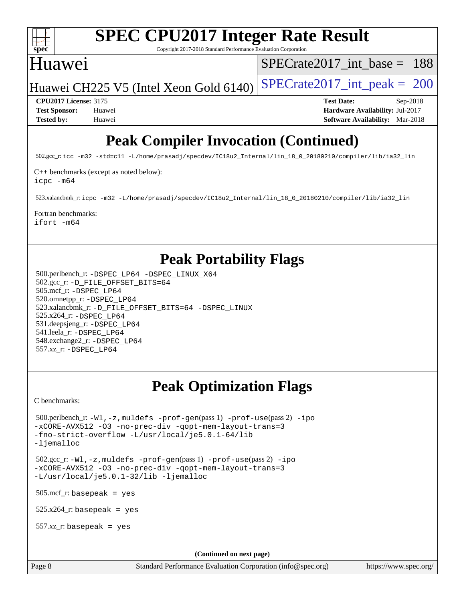

Copyright 2017-2018 Standard Performance Evaluation Corporation

# Huawei

[SPECrate2017\\_int\\_base =](http://www.spec.org/auto/cpu2017/Docs/result-fields.html#SPECrate2017intbase) 188

Huawei CH225 V5 (Intel Xeon Gold  $6140$ ) [SPECrate2017\\_int\\_peak =](http://www.spec.org/auto/cpu2017/Docs/result-fields.html#SPECrate2017intpeak) 200

**[CPU2017 License:](http://www.spec.org/auto/cpu2017/Docs/result-fields.html#CPU2017License)** 3175 **[Test Date:](http://www.spec.org/auto/cpu2017/Docs/result-fields.html#TestDate)** Sep-2018 **[Test Sponsor:](http://www.spec.org/auto/cpu2017/Docs/result-fields.html#TestSponsor)** Huawei **[Hardware Availability:](http://www.spec.org/auto/cpu2017/Docs/result-fields.html#HardwareAvailability)** Jul-2017 **[Tested by:](http://www.spec.org/auto/cpu2017/Docs/result-fields.html#Testedby)** Huawei **[Software Availability:](http://www.spec.org/auto/cpu2017/Docs/result-fields.html#SoftwareAvailability)** Mar-2018

# **[Peak Compiler Invocation \(Continued\)](http://www.spec.org/auto/cpu2017/Docs/result-fields.html#PeakCompilerInvocation)**

502.gcc\_r: [icc -m32 -std=c11 -L/home/prasadj/specdev/IC18u2\\_Internal/lin\\_18\\_0\\_20180210/compiler/lib/ia32\\_lin](http://www.spec.org/cpu2017/results/res2018q4/cpu2017-20181010-09136.flags.html#user_peakCCLD502_gcc_r_intel_icc_a481ac844e7127046fad14d498c730a1848fa901fbbb2c3dfdd5e9fbbac777c8009953946d55d8b6afe8ed0da70dd2b4f8dedbdf7ab1ee211ba70d24a5d89f85)

[C++ benchmarks \(except as noted below\):](http://www.spec.org/auto/cpu2017/Docs/result-fields.html#CXXbenchmarksexceptasnotedbelow)

[icpc -m64](http://www.spec.org/cpu2017/results/res2018q4/cpu2017-20181010-09136.flags.html#user_CXXpeak_intel_icpc_64bit_4ecb2543ae3f1412ef961e0650ca070fec7b7afdcd6ed48761b84423119d1bf6bdf5cad15b44d48e7256388bc77273b966e5eb805aefd121eb22e9299b2ec9d9)

523.xalancbmk\_r: [icpc -m32 -L/home/prasadj/specdev/IC18u2\\_Internal/lin\\_18\\_0\\_20180210/compiler/lib/ia32\\_lin](http://www.spec.org/cpu2017/results/res2018q4/cpu2017-20181010-09136.flags.html#user_peakCXXLD523_xalancbmk_r_intel_icpc_c6d030cd79af6ea7d6fb64c57e8fe7ae8fe0b96fc5a3b3f4a10e3273b3d7fa9decd8263f6330cef23f751cb093a69fae84a2bf4c243500a8eed069248128076f)

#### [Fortran benchmarks](http://www.spec.org/auto/cpu2017/Docs/result-fields.html#Fortranbenchmarks):

[ifort -m64](http://www.spec.org/cpu2017/results/res2018q4/cpu2017-20181010-09136.flags.html#user_FCpeak_intel_ifort_64bit_24f2bb282fbaeffd6157abe4f878425411749daecae9a33200eee2bee2fe76f3b89351d69a8130dd5949958ce389cf37ff59a95e7a40d588e8d3a57e0c3fd751)

# **[Peak Portability Flags](http://www.spec.org/auto/cpu2017/Docs/result-fields.html#PeakPortabilityFlags)**

 500.perlbench\_r: [-DSPEC\\_LP64](http://www.spec.org/cpu2017/results/res2018q4/cpu2017-20181010-09136.flags.html#b500.perlbench_r_peakPORTABILITY_DSPEC_LP64) [-DSPEC\\_LINUX\\_X64](http://www.spec.org/cpu2017/results/res2018q4/cpu2017-20181010-09136.flags.html#b500.perlbench_r_peakCPORTABILITY_DSPEC_LINUX_X64) 502.gcc\_r: [-D\\_FILE\\_OFFSET\\_BITS=64](http://www.spec.org/cpu2017/results/res2018q4/cpu2017-20181010-09136.flags.html#user_peakPORTABILITY502_gcc_r_file_offset_bits_64_5ae949a99b284ddf4e95728d47cb0843d81b2eb0e18bdfe74bbf0f61d0b064f4bda2f10ea5eb90e1dcab0e84dbc592acfc5018bc955c18609f94ddb8d550002c) 505.mcf\_r: [-DSPEC\\_LP64](http://www.spec.org/cpu2017/results/res2018q4/cpu2017-20181010-09136.flags.html#suite_peakPORTABILITY505_mcf_r_DSPEC_LP64) 520.omnetpp\_r: [-DSPEC\\_LP64](http://www.spec.org/cpu2017/results/res2018q4/cpu2017-20181010-09136.flags.html#suite_peakPORTABILITY520_omnetpp_r_DSPEC_LP64) 523.xalancbmk\_r: [-D\\_FILE\\_OFFSET\\_BITS=64](http://www.spec.org/cpu2017/results/res2018q4/cpu2017-20181010-09136.flags.html#user_peakPORTABILITY523_xalancbmk_r_file_offset_bits_64_5ae949a99b284ddf4e95728d47cb0843d81b2eb0e18bdfe74bbf0f61d0b064f4bda2f10ea5eb90e1dcab0e84dbc592acfc5018bc955c18609f94ddb8d550002c) [-DSPEC\\_LINUX](http://www.spec.org/cpu2017/results/res2018q4/cpu2017-20181010-09136.flags.html#b523.xalancbmk_r_peakCXXPORTABILITY_DSPEC_LINUX) 525.x264\_r: [-DSPEC\\_LP64](http://www.spec.org/cpu2017/results/res2018q4/cpu2017-20181010-09136.flags.html#suite_peakPORTABILITY525_x264_r_DSPEC_LP64) 531.deepsjeng\_r: [-DSPEC\\_LP64](http://www.spec.org/cpu2017/results/res2018q4/cpu2017-20181010-09136.flags.html#suite_peakPORTABILITY531_deepsjeng_r_DSPEC_LP64) 541.leela\_r: [-DSPEC\\_LP64](http://www.spec.org/cpu2017/results/res2018q4/cpu2017-20181010-09136.flags.html#suite_peakPORTABILITY541_leela_r_DSPEC_LP64) 548.exchange2\_r: [-DSPEC\\_LP64](http://www.spec.org/cpu2017/results/res2018q4/cpu2017-20181010-09136.flags.html#suite_peakPORTABILITY548_exchange2_r_DSPEC_LP64) 557.xz\_r: [-DSPEC\\_LP64](http://www.spec.org/cpu2017/results/res2018q4/cpu2017-20181010-09136.flags.html#suite_peakPORTABILITY557_xz_r_DSPEC_LP64)

# **[Peak Optimization Flags](http://www.spec.org/auto/cpu2017/Docs/result-fields.html#PeakOptimizationFlags)**

[C benchmarks](http://www.spec.org/auto/cpu2017/Docs/result-fields.html#Cbenchmarks):

```
 500.perlbench_r: -Wl,-z,muldefs -prof-gen(pass 1) -prof-use(pass 2) -ipo
-xCORE-AVX512 -O3 -no-prec-div -qopt-mem-layout-trans=3
-fno-strict-overflow -L/usr/local/je5.0.1-64/lib
-ljemalloc
 502.gcc_r: -Wl,-z,muldefs -prof-gen(pass 1) -prof-use(pass 2) -ipo
-xCORE-AVX512 -O3 -no-prec-div -qopt-mem-layout-trans=3
-L/usr/local/je5.0.1-32/lib -ljemalloc
 505.mcf_r: basepeak = yes
525.x264<sup>-r:</sup> basepeak = yes
 557.xz_r: basepeak = yes
                                        (Continued on next page)
```
Page 8 Standard Performance Evaluation Corporation [\(info@spec.org\)](mailto:info@spec.org) <https://www.spec.org/>